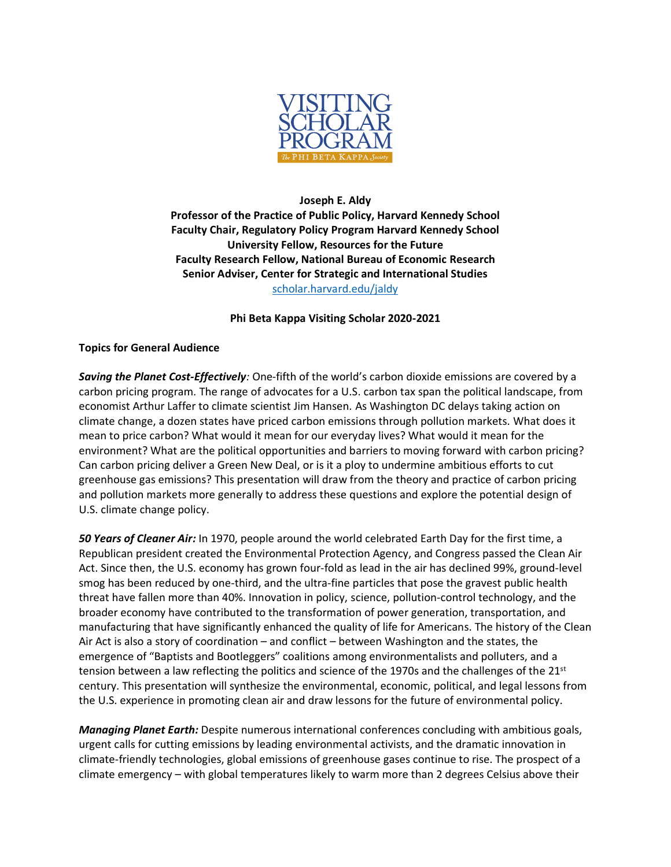

## **Joseph E. Aldy Professor of the Practice of Public Policy, Harvard Kennedy School Faculty Chair, Regulatory Policy Program Harvard Kennedy School University Fellow, Resources for the Future Faculty Research Fellow, National Bureau of Economic Research Senior Adviser, Center for Strategic and International Studies** [scholar.harvard.edu/jaldy](https://scholar.harvard.edu/jaldy)

## **Phi Beta Kappa Visiting Scholar 2020-2021**

## **Topics for General Audience**

*Saving the Planet Cost-Effectively:* One-fifth of the world's carbon dioxide emissions are covered by a carbon pricing program. The range of advocates for a U.S. carbon tax span the political landscape, from economist Arthur Laffer to climate scientist Jim Hansen. As Washington DC delays taking action on climate change, a dozen states have priced carbon emissions through pollution markets. What does it mean to price carbon? What would it mean for our everyday lives? What would it mean for the environment? What are the political opportunities and barriers to moving forward with carbon pricing? Can carbon pricing deliver a Green New Deal, or is it a ploy to undermine ambitious efforts to cut greenhouse gas emissions? This presentation will draw from the theory and practice of carbon pricing and pollution markets more generally to address these questions and explore the potential design of U.S. climate change policy.

*50 Years of Cleaner Air:* In 1970, people around the world celebrated Earth Day for the first time, a Republican president created the Environmental Protection Agency, and Congress passed the Clean Air Act. Since then, the U.S. economy has grown four-fold as lead in the air has declined 99%, ground-level smog has been reduced by one-third, and the ultra-fine particles that pose the gravest public health threat have fallen more than 40%. Innovation in policy, science, pollution-control technology, and the broader economy have contributed to the transformation of power generation, transportation, and manufacturing that have significantly enhanced the quality of life for Americans. The history of the Clean Air Act is also a story of coordination – and conflict – between Washington and the states, the emergence of "Baptists and Bootleggers" coalitions among environmentalists and polluters, and a tension between a law reflecting the politics and science of the 1970s and the challenges of the 21st century. This presentation will synthesize the environmental, economic, political, and legal lessons from the U.S. experience in promoting clean air and draw lessons for the future of environmental policy.

*Managing Planet Earth:* Despite numerous international conferences concluding with ambitious goals, urgent calls for cutting emissions by leading environmental activists, and the dramatic innovation in climate-friendly technologies, global emissions of greenhouse gases continue to rise. The prospect of a climate emergency – with global temperatures likely to warm more than 2 degrees Celsius above their